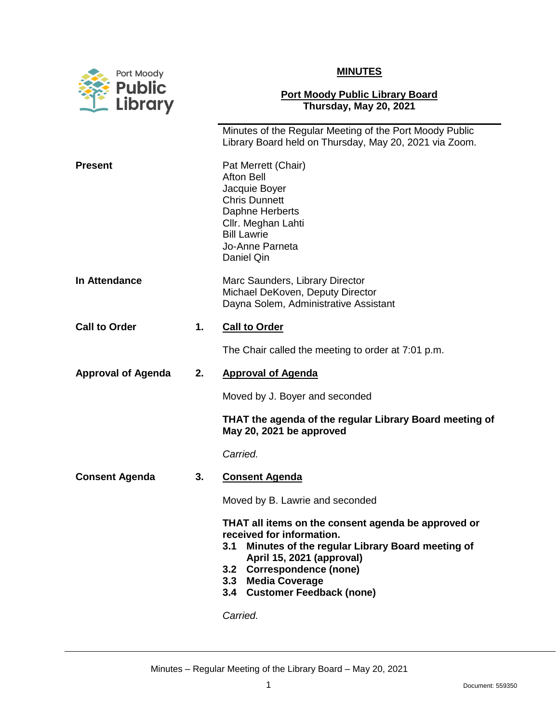

## **MINUTES**

## **Port Moody Public Library Board Thursday, May 20, 2021**

|                           |    | Minutes of the Regular Meeting of the Port Moody Public<br>Library Board held on Thursday, May 20, 2021 via Zoom.                                                                                                                                                                          |
|---------------------------|----|--------------------------------------------------------------------------------------------------------------------------------------------------------------------------------------------------------------------------------------------------------------------------------------------|
| <b>Present</b>            |    | Pat Merrett (Chair)<br><b>Afton Bell</b><br>Jacquie Boyer<br><b>Chris Dunnett</b><br>Daphne Herberts<br>Cllr. Meghan Lahti<br><b>Bill Lawrie</b><br>Jo-Anne Parneta<br>Daniel Qin                                                                                                          |
| In Attendance             |    | Marc Saunders, Library Director<br>Michael DeKoven, Deputy Director<br>Dayna Solem, Administrative Assistant                                                                                                                                                                               |
| <b>Call to Order</b>      | 1. | <b>Call to Order</b>                                                                                                                                                                                                                                                                       |
|                           |    | The Chair called the meeting to order at 7:01 p.m.                                                                                                                                                                                                                                         |
| <b>Approval of Agenda</b> | 2. | <b>Approval of Agenda</b>                                                                                                                                                                                                                                                                  |
|                           |    | Moved by J. Boyer and seconded                                                                                                                                                                                                                                                             |
|                           |    | THAT the agenda of the regular Library Board meeting of<br>May 20, 2021 be approved                                                                                                                                                                                                        |
|                           |    | Carried.                                                                                                                                                                                                                                                                                   |
| <b>Consent Agenda</b>     | 3. | <b>Consent Agenda</b>                                                                                                                                                                                                                                                                      |
|                           |    | Moved by B. Lawrie and seconded                                                                                                                                                                                                                                                            |
|                           |    | THAT all items on the consent agenda be approved or<br>received for information.<br>Minutes of the regular Library Board meeting of<br>3.1<br>April 15, 2021 (approval)<br><b>Correspondence (none)</b><br>3.2<br>3.3<br><b>Media Coverage</b><br>3.4 Customer Feedback (none)<br>Carried. |
|                           |    |                                                                                                                                                                                                                                                                                            |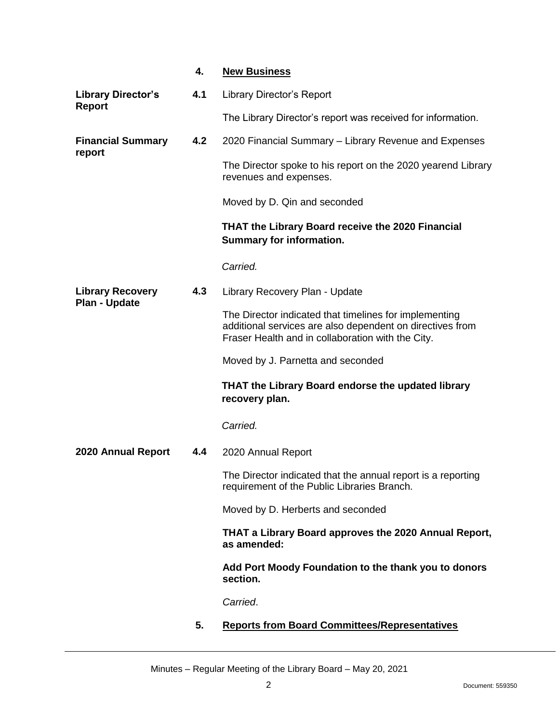|                                                 | 4.  | <b>New Business</b>                                                                                                                                                      |
|-------------------------------------------------|-----|--------------------------------------------------------------------------------------------------------------------------------------------------------------------------|
| <b>Library Director's</b><br><b>Report</b>      | 4.1 | Library Director's Report                                                                                                                                                |
|                                                 |     | The Library Director's report was received for information.                                                                                                              |
| <b>Financial Summary</b><br>report              | 4.2 | 2020 Financial Summary – Library Revenue and Expenses                                                                                                                    |
|                                                 |     | The Director spoke to his report on the 2020 yearend Library<br>revenues and expenses.                                                                                   |
|                                                 |     | Moved by D. Qin and seconded                                                                                                                                             |
|                                                 |     | THAT the Library Board receive the 2020 Financial<br><b>Summary for information.</b>                                                                                     |
|                                                 |     | Carried.                                                                                                                                                                 |
| <b>Library Recovery</b><br><b>Plan - Update</b> | 4.3 | Library Recovery Plan - Update                                                                                                                                           |
|                                                 |     | The Director indicated that timelines for implementing<br>additional services are also dependent on directives from<br>Fraser Health and in collaboration with the City. |
|                                                 |     | Moved by J. Parnetta and seconded                                                                                                                                        |
|                                                 |     | <b>THAT the Library Board endorse the updated library</b><br>recovery plan.                                                                                              |
|                                                 |     | Carried.                                                                                                                                                                 |
| 2020 Annual Report                              | 4.4 | 2020 Annual Report                                                                                                                                                       |
|                                                 |     | The Director indicated that the annual report is a reporting<br>requirement of the Public Libraries Branch.                                                              |
|                                                 |     | Moved by D. Herberts and seconded                                                                                                                                        |
|                                                 |     | THAT a Library Board approves the 2020 Annual Report,<br>as amended:                                                                                                     |
|                                                 |     | Add Port Moody Foundation to the thank you to donors<br>section.                                                                                                         |
|                                                 |     | Carried.                                                                                                                                                                 |
|                                                 | 5.  | <b>Reports from Board Committees/Representatives</b>                                                                                                                     |